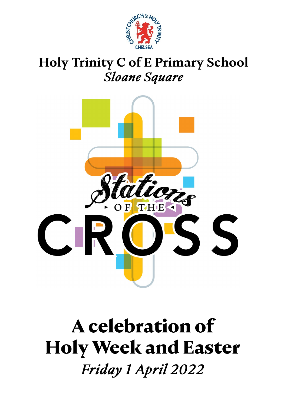

# Holy Trinity C of E Primary School **Sloane Square**



# A celebration of **Holy Week and Easter** Friday 1 April 2022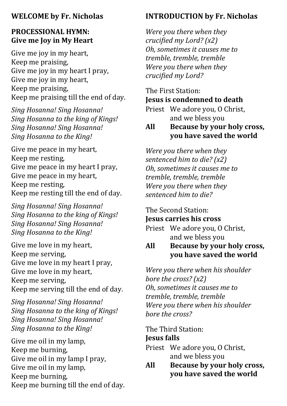#### **WELCOME by Fr. Nicholas**

#### **PROCESSIONAL HYMN: Give me Joy in My Heart**

Give me joy in my heart, Keep me praising, Give me joy in my heart I pray, Give me joy in my heart, Keep me praising, Keep me praising till the end of day.

*Sing Hosanna! Sing Hosanna! Sing Hosanna to the king of Kings! Sing Hosanna! Sing Hosanna! Sing Hosanna to the King!*

Give me peace in my heart, Keep me resting, Give me peace in my heart I pray, Give me peace in my heart, Keep me resting, Keep me resting till the end of day.

*Sing Hosanna! Sing Hosanna! Sing Hosanna to the king of Kings! Sing Hosanna! Sing Hosanna! Sing Hosanna to the King!*

Give me love in my heart, Keep me serving, Give me love in my heart I pray, Give me love in my heart, Keep me serving, Keep me serving till the end of day.

*Sing Hosanna! Sing Hosanna! Sing Hosanna to the king of Kings! Sing Hosanna! Sing Hosanna! Sing Hosanna to the King!*

Give me oil in my lamp, Keep me burning, Give me oil in my lamp I pray, Give me oil in my lamp, Keep me burning, Keep me burning till the end of day.

# **INTRODUCTION by Fr. Nicholas**

*Were you there when they crucified my Lord? (x2) Oh, sometimes it causes me to tremble, tremble, tremble Were you there when they crucified my Lord?* 

#### The First Station:

#### **Jesus is condemned to death**

Priest We adore you, O Christ, and we bless you

#### **All Because by your holy cross, you have saved the world**

*Were you there when they sentenced him to die? (x2) Oh, sometimes it causes me to tremble, tremble, tremble Were you there when they sentenced him to die?* 

#### The Second Station:

#### **Jesus carries his cross**

Priest We adore you, O Christ, and we bless you

#### **All Because by your holy cross, you have saved the world**

*Were you there when his shoulder bore the cross? (x2) Oh, sometimes it causes me to tremble, tremble, tremble Were you there when his shoulder bore the cross?* 

The Third Station: **Jesus falls**

- Priest We adore you, O Christ, and we bless you
- **All Because by your holy cross, you have saved the world**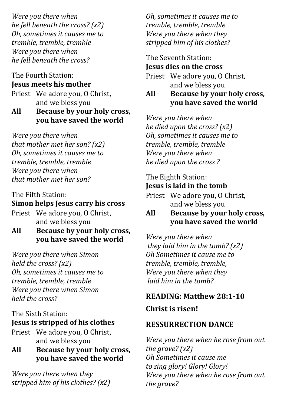*Were you there when he fell beneath the cross? (x2) Oh, sometimes it causes me to tremble, tremble, tremble Were you there when he fell beneath the cross?* 

#### The Fourth Station: **Jesus meets his mother**

Priest We adore you, O Christ, and we bless you

**All Because by your holy cross, you have saved the world**

*Were you there when that mother met her son? (x2) Oh, sometimes it causes me to tremble, tremble, tremble Were you there when that mother met her son?* 

The Fifth Station: **Simon helps Jesus carry his cross** 

Priest We adore you, O Christ, and we bless you

**All Because by your holy cross, you have saved the world**

*Were you there when Simon held the cross? (x2) Oh, sometimes it causes me to tremble, tremble, tremble Were you there when Simon held the cross?* 

# The Sixth Station: **Jesus is stripped of his clothes**

Priest We adore you, O Christ, and we bless you

**All Because by your holy cross, you have saved the world**

*Were you there when they stripped him of his clothes? (x2)*

*Oh, sometimes it causes me to tremble, tremble, tremble Were you there when they stripped him of his clothes?*

#### The Seventh Station: **Jesus dies on the cross**

Priest We adore you, O Christ, and we bless you

**All Because by your holy cross, you have saved the world**

*Were you there when he died upon the cross? (x2) Oh, sometimes it causes me to tremble, tremble, tremble Were you there when he died upon the cross ?*

#### The Eighth Station: **Jesus is laid in the tomb**

Priest We adore you, O Christ, and we bless you

# **All Because by your holy cross, you have saved the world**

*Were you there when they laid him in the tomb? (x2) Oh Sometimes it cause me to tremble, tremble, tremble, Were you there when they laid him in the tomb?*

# **READING: Matthew 28:1-10**

**Christ is risen!**

# **RESSURRECTION DANCE**

*Were you there when he rose from out the grave? (x2) Oh Sometimes it cause me to sing glory! Glory! Glory! Were you there when he rose from out the grave?*